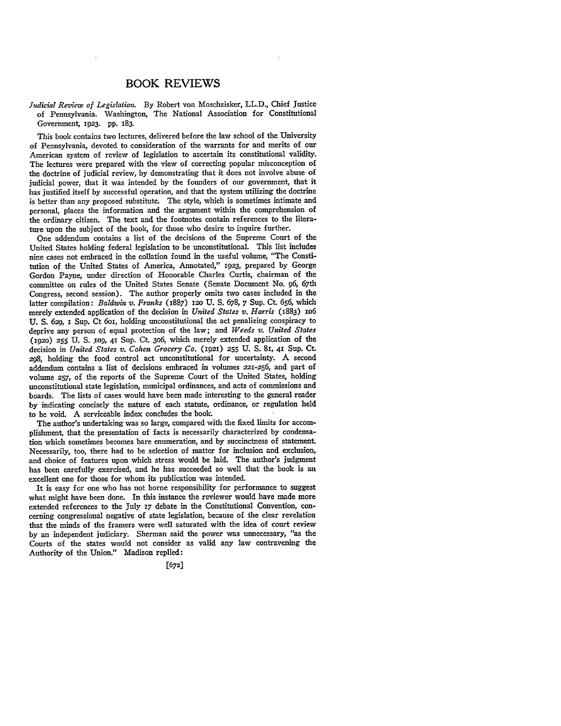# BOOK REVIEWS

*Judicial Review of Legislation.* **By** Robert von Moschzisker, LL.D., Chief Justice of Pennsylvania. Washington, The National Association for Constitutional Government, **1923. pp.** 183.

This book contains two lectures, delivered before the law school of the University of Pennsylvania, devoted to consideration of the warrants for and merits of our American system of review of legislation to ascertain its constitutional validity. The lectures were prepared with the view of correcting popular misconception of the doctrine of judicial review, **by** demonstrating that it does not involve abuse of judicial power, that it was intended **by** the founders of our government, that it has justified itself by successful operation, and that the system utilizing the doctrine is better than any proposed substitute. The style, which is sometimes intimate and personal, places the information and the argument within the comprehension of the ordinary citizen. The text and the footnotes contain references to the literature upon the subject of the book, for those who desire to inquire further.

One addendum contains a list of the decisions of the Supreme Court of the United States holding federal legislation to be unconstitutional. This list includes nine cases not embraced in the collation found in the useful volume, "The Constitution of the United States of America, Annotated," **1923,** prepared **by** George Gordon Payne, under direction of Honorable Charles Curtis, chairman of the committee on rules of the United States Senate (Senate Document No. **96,** 67th Congress, second session). The author properly omits two cases included in the latter compilation: *Baldwin v. Franks* (1887) i2o **U. S.** 678, 7 Sup. Ct **656,** which merely extended application of the decision in *United States v. Harris* (1883) io6 U. S. 629, **I** Sup. Ct 601, holding unconstitutional the act penalizing conspiracy to deprive any person of equal protection of the law; and *Weeds v. United States* **(1920) 255 U. S.** .O9, **41** Sup. **Ct.** 3o6, which merely extended application of the decision in *United States v. Cohen Grocery Co.* **(1921) 255 U. S.** 81, **41** Sup. **Ct. \_-8,** holding the food control act unconstitutional for uncertainty. A second addendum contains a list of decisions embraced in volumes 221-256, and part of volume **257,** of the reports of the Supreme Court of the United States, holding unconstitutional state legislation, municipal ordinances, and acts of commissions and boards. The lists of cases would have been made interesting to the general reader **by** indicating concisely the nature of each statute, ordinance, or regulation held to be void. A serviceable index concludes the book.

The author's undertaking was so large, compared with the fixed limits for accomplishment, that the presentation of facts is necessarily characterized by condensation which sometimes becomes bare enumeration, and **by** succinctness of statement Necessarily, too, there had to be selection of matter for inclusion and exclusion, and choice of features upon which stress would be laid. The author's judgment has been carefully exercised, and he has succeeded so well that the book is an excellent one for those for whom its publication was intended.

It is easy for one who has not borne responsibility for performance to suggest what might have been done. In this instance the reviewer would have made more extended references to the July 17 debate in the Constitutional Convention, concerning congressional negative of state legislation, because of the clear revelation that the minds of the framers were well saturated with the idea of court review by an independent judiciary. Sherman said the power was unnecessary, "as the Courts of the states would not consider as valid any law contravening the Authority of the Union." Madison replied:

**[6721**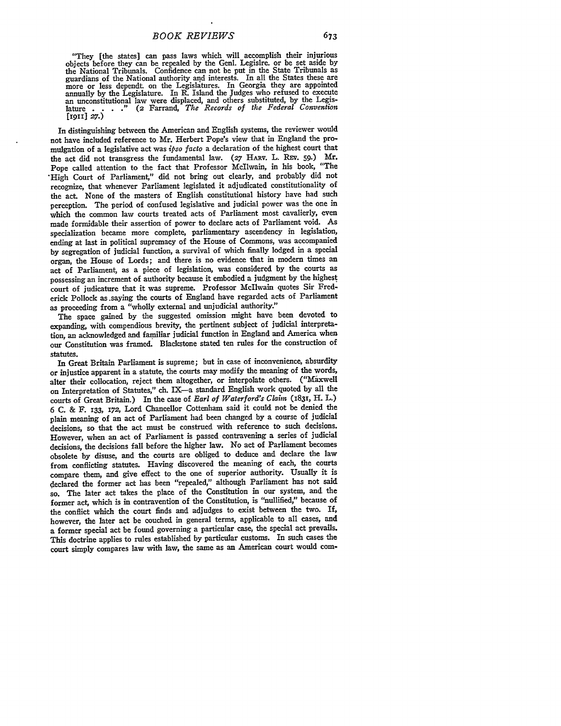"They [the states] can pass laws which will accomplish their injurious objects before they can be repealed by the Genl. Legislre. or be set aside by the National Tribunals. Confidence can not be put in the State Tribunals as guardians of the National authority and interests. In all the States these are more or less dependt on the Legislatures. In Georgia they are appointed annually by the Legislature. In R. Island the Judges who refused to execute an unconstitutional law were displaced, and others substituted, by the Legislature . **. . ." (2** Farrand, *The Records of the Federal Convention* **[191] 27.)**

In distinguishing between the American and English systems, the reviewer would not have included reference to Mr. Herbert Pope's view that in England the promulgation of a legislative act was *ipso facto* a declaration of the highest court that the act did not transgress the fundamental law. (27 HARV. L. REV. 59.) Mr. Pope called attention to the fact that Professor McIlwain, in his book, "The \*High Court of Parliament," did not bring out clearly, and probably did not recognize, that whenever Parliament legislated it adjudicated constitutionality of the act. None of the masters of English constitutional history have had such perception. The period of confused legislative and judicial power was the one in which the common law courts treated acts of Parliament most cavalierly, even made formidable their assertion of power to declare acts of Parliament void. As specialization became more complete, parliamentary ascendency in legislation, ending at last in political supremacy of the House of Commons, was accompanied **by** segregation of judicial function, a survival of which finally lodged in a special organ, the House of Lords; and there is no evidence that in modern times an act of Parliament, as a piece of legislation, was considered **by** the courts as possessing an increment of authority because it embodied a judgment **by** the highest court of judicature that it was supreme. Professor McIlwain quotes Sir Frederick Pollock as .saying the courts of England have regarded acts of Parliament as proceeding from a "wholly external and unjudicial authority."

The space gained by the suggested omission might have been devoted to expanding, with compendious brevity, the pertinent subject of judicial interpretation, an acknowledged and familiar judicial function in England and America when our Constitution was framed. Blackstone stated ten rules for the construction of statutes.

In Great Britain Parliament is supreme; but in case of inconvenience, absurdity or injustice apparent in a statute, the courts may modify the meaning of the words, alter their collocation, reject them altogether, or interpolate others. ("Maxwell on Interpretation of Statutes," ch. IX-a standard English work quoted by all the courts of Great Britain.) In the case of *Earl of Waterford's Claim* **(1831,** H. L.) **6 C.** & F. **133,** 172, Lord Chancellor Cottenham said it could not be denied the plain meaning of an act of Parliament had been changed by a course of judicial decisions, so that the act must be construed with reference to such decisions. However, when an act of Parliament is passed contravening a series of judicial decisions, the decisions fall before the higher law. No act of Parliament becomes obsolete by disuse, and the courts are obliged to deduce and declare the law from conflicting statutes. Having discovered the meaning of each, the courts compare them, and give effect to the one of superior authority. Usually it is declared the former act has been "repealed," although Parliament has not said so. The later act takes the place of the Constitution in our system, and the former act, which is in contravention of the Constitution, is "nullified," because of the conflict which the court finds and adjudges to exist between the two. If, however, the later act be couched in general terms, applicable to all cases, and a former special act be found governing a particular case, the special act prevails. This doctrine applies to rules established by particular customs. In such cases the court simply compares law with law, the same as an American court would com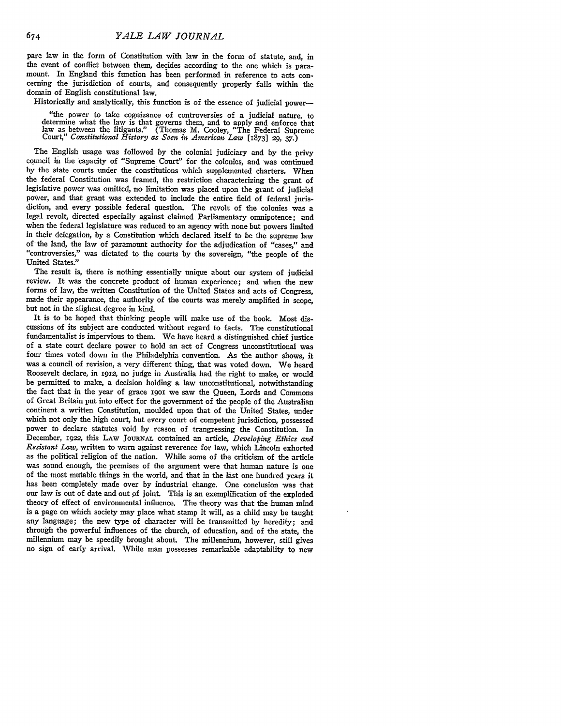pare law in the form of Constitution with law in the form of statute, and, in the event of conflict between them, decides according to the one which is paramount. In England this function has been performed in reference to acts concerning the jurisdiction of courts, and consequently properly falls within the domain of English constitutional law.

Historically and analytically, this function is of the essence of judicial power-

"the power to take cognizance of controversies of a judicial nature, to determine what the law is that governs them, and to apply and enforce that<br>law as between the litigants." (Thomas M. Cooley, "The Federal Supreme<br>Court," Constitutional History as Seen in American Law [1873] 29, 37.)

The English usage was followed by the colonial judiciary and by the privy council in the capacity of "Supreme Court" for the colonies, and was continued by the state courts under the constitutions which supplemented charters. When the federal Constitution was framed, the restriction characterizing the grant of legislative power was omitted, no limitation was placed upon the grant of judicial power, and that grant was extended to include the entire field of federal jurislegal revolt, directed especially against claimed Parliamentary omnipotence; and when the federal legislature was reduced to an agency with none but powers limited in their delegation, by a Constitution which declared itself to be the supreme law of the land, the law of paramount authority for the adjudication of "cases," and "controversies," was dictated to the courts by the sovereign, "the people of the United States."

The result is, there is nothing essentially unique about our system of judicial review. It was the concrete product of human experience; and when the new forms of law, the written Constitution of the United States and acts of Congress, made their appearance, the authority of the courts was merely amplified in scope, but not in the slighest degree in kind.

It is to be hoped that thinking people will make use of the book. Most discussions of its subject are conducted without regard to facts. The constitutional fundamentalist is impervious to them. We have heard a distinguished chief justice of a state court declare power to hold an act of Congress unconstitutional was<br>four times voted down in the Philadelphia convention. As the author shows, it<br>was a council of revision, a very different thing, that was voted Roosevelt declare, in 1912, no judge in Australia had the right to make, or would be permitted to make, a decision holding a law unconstitutional, notwithstanding the fact that in the year of grace 1901 we saw the Queen, Lords and Commons of Great Britain put into effect for the government of the people of the Australian continent a written Constitution, moulded upon that of the United States, under which not only the high court, but every court of competent jurisdiction, possessed power to declare statutes void by reason of trangressing the Constitution. In December, 1922, this LAw **JOuRNAL** contained an article, *Developing Ethics and Resistant Law,* written to warn against reverence for law, which Lincoln exhorted as the political religion of the nation. While some of the criticism of the article was sound enough, the premises of the argument were tha of the most mutable things in the world, and that in the last one hundred years it has been completely made over by industrial change. One conclusion was that our law is out of date and out **pf** joint This is an exemplification of the exploded theory of effect of environmental influence. The theory was that the human mind is a page on which society may place what stamp it will, as a child may be taught any language; the new type of character will be transmitted by heredity; and through the powerful influences of the church, of education, and of the state, the millennium may be speedily brought about. The millennium, however, still gives no sign of early arrival. While man possesses remarkable adaptability to new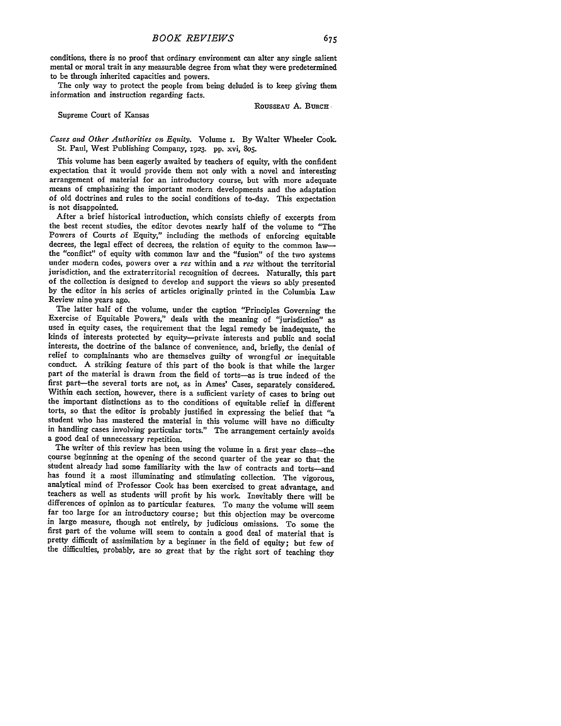conditions, there is no proof that ordinary environment can alter any single salient mental or moral trait in any measurable degree from what they were predetermined to be through inherited capacities and powers.

The only way to protect the people from being deluded is to keep giving them information and instruction regarding facts.

## Supreme Court of Kansas

RousSEAU A. **BURCH**

## *Cases and Other Authorities on Equity.* Volume **i.** By Walter Wheeler **Cook.** St. Paul, West Publishing Company, **1923. pp.** xvi, 805.

This volume has been eagerly awaited by teachers of equity, with the confident expectation that it would provide them not only with a novel and interesting arrangement of material for an introductory course, but with more adequate means of emphasizing the important modern developments and the adaptation of old doctrines and rules to the social conditions of to-day. This expectation is not disappointed.

After a brief historical introduction, which consists chiefly of excerpts from the best recent studies, the editor devotes nearly half of the volume to "The Powers of Courts of Equity," including the methods of enforcing equitable decrees, the legal effect of decrees, the relation of equity to the common lawthe "conflict" of equity with common law and the "fusion" of the two systems under modern codes, powers over a *res* within and a *res* without the territorial jurisdiction, and the extraterritorial recognition of decrees. Naturally, this part of the collection is designed to develop and support the views so ably presented by the editor in his series of articles originally printed in the Columbia Law Review nine years ago.

The latter half of the volume, under the caption "Principles Governing the Exercise of Equitable Powers," deals with the meaning of "jurisdiction" as used in equity cases, the requirement that the legal remedy be inadequate, the kinds of interests protected by equity-private interests and public and social interests, the doctrine of the balance of convenience, and, briefly, the denial of relief to complainants who are themselves guilty of wrongful or inequitable conduct. **A** striking feature of this part of the book is that while the larger part of the material is drawn from the field of torts-as is true indeed of the first part-the several torts are not, as in Ames' Cases, separately considered. Within each section, however, there is a sufficient variety of cases to bring out the important distinctions as to the conditions of equitable relief in different torts, so that the editor is probably justified in expressing the belief that "a student who has mastered the material in this volume will have no difficulty in handling cases involving particular torts." The arrangement certainly avoids a good deal of unnecessary repetition.

The writer of this review has been using the volume in a first year class-the course beginning at the opening of the second quarter of the year so that the student already had some familiarity with the law of contracts and torts-and has found it a most illuminating and stimulating collection. The vigorous, analytical mind of Professor Cook has been exercised to great advantage, and teachers as well as students will profit **by** his work. Inevitably there will be differences of opinion as to particular features. To many the volume will seem far too large for an introductory course; but this objection may be overcome in large measure, though not entirely, **by** judicious omissions. To some the first part of the volume will seem to contain a good deal of material that is pretty difficult of assimilation **by** a beginner in the field of equity; but few of the difficulties, probably, are so great that **by** the right sort of teaching they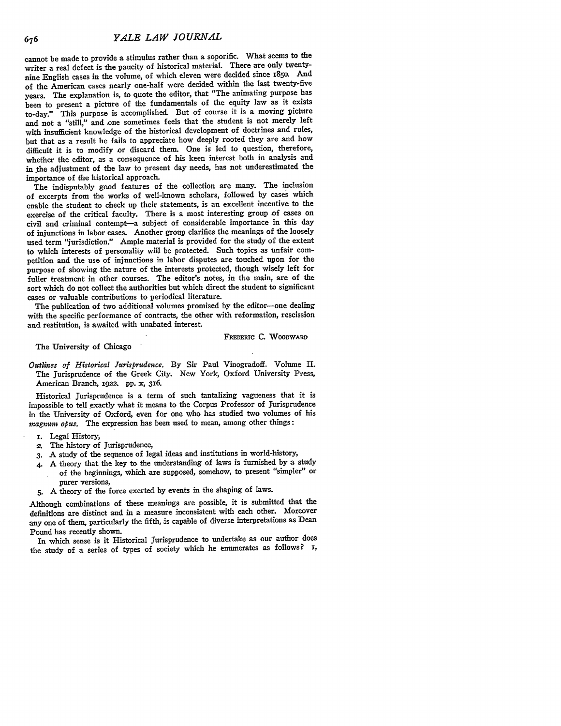cannot be made to provide a stimulus rather than a soporific. What seems to the writer a real defect is the paucity of historical material. There are only twentynine English cases in the volume, of which eleven were decided since i85o. And of the American cases nearly one-half were decided within the last twenty-five years. The explanation is, to quote the editor, that "The animating purpose has been to present a picture of the fundamentals of the equity law as it exists to-day." This purpose is accomplished. But of course it is a moving picture and not a "still," and one sometimes feels that the student is not merely left with insufficient knowledge of the historical development of doctrines and rules, but that as a result he fails to appreciate how deeply rooted they are and how difficult it is to modify or discard them. One is led to question, therefore, whether the editor, as a consequence of his keen interest both in analysis and in the adjustment of the law to present day needs, has not underestimated the importance of the historical approach.

The indisputably good features of the collection are many. The inclusion of excerpts from the works of well-known scholars, followed by cases which enable the student to check up their statements, is an excellent incentive to the exercise of the critical faculty. There is a most interesting group of cases on civil and criminal contempt-a subject of considerable importance in this day of injunctions in labor cases. Another group clarifies the meanings of the loosely used term "jurisdiction." Ample material is provided for the study of the extent to which interests of personality will be protected. Such topics as unfair competition and the use of injunctions in labor disputes are touched upon for the purpose of showing the nature of the interests protected, though wisely left for fuller treatment in other courses. The editor's notes, in the main, are of the sort which do not collect the authorities but which direct the student to significant cases or valuable contributions to periodical literature.

The publication of two additional volumes promised by the editor-one dealing with the specific performance of contracts, the other with reformation, rescission and restitution, is awaited with unabated interest.

**FREDERIC C.** WOODWARD

The University of Chicago

*Outlines of Historical Jurisprudence.* By Sir Paul Vinogradoff. Volume **II.** The Jurisprudence of the Greek City. New York, Oxford University Press, American Branch, 1922. **pp.** x, 316.

Historical Jurisprudence is a term of such tantalizing vagueness that it is impossible to tell exactly what it means to the Corpus Professor of Jurisprudence in the University of Oxford, even for one who has studied two volumes of his *inagnum opus.* The expression has been used to mean, among other things:

- **x.** Legal History,
- 2. The history of Jurisprudence,
- 3. A study of the sequence of legal ideas and institutions in world-history,
- 4. A theory that the key to the understanding of laws is furnished by a study of the beginnings, Which are supposed, somehow, to present "simpler" or purer versions,
- *5.* A theory of the force exerted **by** events in the shaping of laws.

Although combinations of these meanings are possible, it is submitted that the definitions are distinct and in a measure inconsistent with each other. Moreover any one of them, particularly the fifth, is capable of diverse interpretations as Dean Pound has recently shown.

In which sense is it Historical Jurisprudence to undertake as our author does the study of a series of types of society which he enumerates as follows? *x,*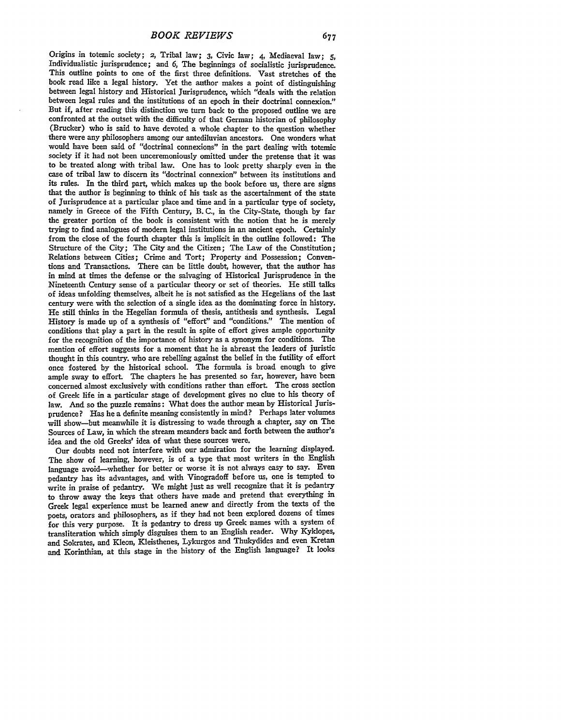Origins in totemic society; 2, Tribal law; **3,** Civic law; 4, Mediaeval law; **5,** Individualistic jurisprudence; and **6,** The beginnings of socialistic jurisprudence. This outline points to one of the first three definitions. Vast stretches of the book read like a legal history. Yet the author makes a point of distinguishing between legal history and Historical Jurisprudence, which "deals with the relation between legal rules and the institutions of an epoch in their doctrinal connexion." But if, after reading this distinction we turn back to the proposed outline we are confronted at the outset with the difficulty of that German historian of philosophy (Brucker) who is said to have devoted a whole chapter to the question whether there were any philosophers among our antediluvian ancestors. One wonders what would have been said of "doctrinal connexions" in the part dealing with totemic society if it had not been unceremoniously omitted under the pretense that it was to be treated along with tribal law. One has to look pretty sharply even in the case of tribal law to discern its "doctrinal connexion" between its institutions and its rules. In the third part, which makes up the book before us, there are signs that the author is beginning to think of his task as the ascertainment of the state of Jurisprudence at a particular place and time and in a particular type of society, namely in Greece of the Fifth Century, B. **C.,** in the City-State, though **by** far the greater portion of the book is consistent with the notion that he is merely trying to find analogues of modern legal institutions in an ancient epoch. Certainly from the close of the fourth chapter this is implicit in the outline followed: The Structure of the City; The City and the Citizen; The Law of the Constitution; Relations between Cities; Crime and Tort; Property and Possession; Conventions and Transactions. There can be little doubt, however, that the author has in mind at times the defense or the salvaging of Historical Jurisprudence in the Nineteenth Century sense **of** a particular theory or set of theories. He still talks of ideas unfolding themselves, albeit he is not satisfied as the Hegelians of the last century were with the selection of a single idea as the dominating force in history. He still thinks in the Hegelian formula of thesis, antithesis and synthesis. Legal History is made up of a synthesis of "effort" and "conditions." The mention of conditions that play a part in the result in spite of effort gives ample opportunity for the recognition of the importance of history as a synonym for conditions. The mention of effort suggests for a moment that he is abreast the leaders of juristic thought in this country, who are rebelling against the belief in the futility of effort once fostered **by** the historical school. The formula is broad enough to give ample sway to effort. The chapters he has presented so far, however, have been concerned almost exclusively with conditions rather than effort. The cross section of Greek life in a particular stage of development gives no clue to his theory of law. And so the puzzle remains: What does the author mean **by** Historical Jurisprudence? Has he a definite meaning consistently in mind? Perhaps later **volumes** will show-but meanwhile it is distressing to wade through a chapter, say on The Sources of Law, in which the stream meanders back and forth between the author's idea and the old Greeks' idea of what these sources were.

Our doubts need not interfere with our admiration for the learning displayed. The show of learning, however, is of a type that most writers in the English language avoid-whether for better or worse it is not always easy to say. Even pedantry has its advantages, and with Vinogradoff before us, one is tempted to write in praise of pedantry. We might just **as** well recognize that it is pedantry to throw away the keys that others have made and pretend that everything in Greek legal experience must be learned anew and directly from the texts of the poets, orators and philosophers, as if they had not been explored dozens of times for this very purpose. It is pedantry to dress up Greek names with a system of transliteration which simply disguises them to an English reader. Why Kyklopes, and Sokrates, and Kleon, Kleisthenes, Lykurgos and Thuky dides and even Kretan and Korinthian, at this stage in the history **of** the English language? It looks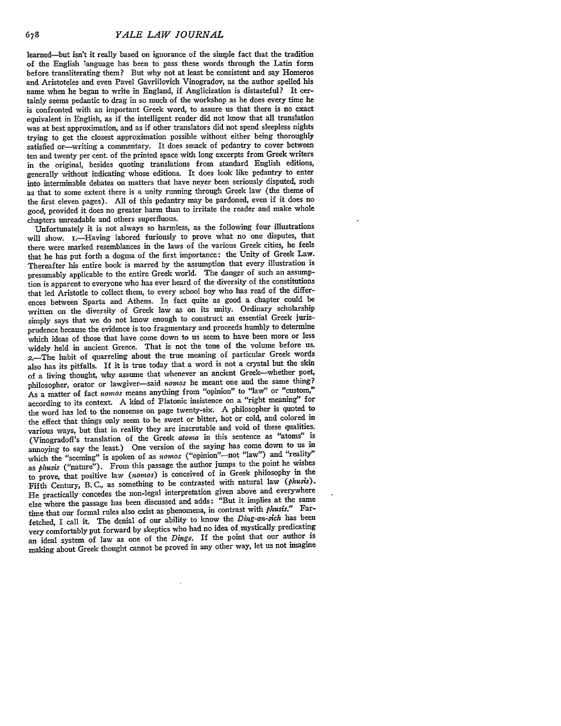learned-but isn't it really based on ignorance of the simple fact that the tradition **of** the English language has been to pass these words through the Latin form before transliterating them? But why not at least be consistent and say Homeros and Aristoteles and even Pavel Gavriilovich Vinogradov, as the author spelled his name when he began to write in England, if Anglicization is distasteful? It certainly seems pedantic to drag in so much of the workshop as he does every time he is confronted with an important Greek word, to assure us that there is no exact equivalent in English, as if the intelligent reader did not know that all translation was at best approximation, and as if other translators did not spend sleepless nights trying to get the closest approximation possible without either being thoroughly satisfied or-writing a commentary. It does smack of pedantry to cover between ten and twenty per cent. of the printed space with long excerpts from Greek writers in the original, besides quoting translations from standard English editions, generally without indicating whose editions. It does look like pedantry to enter into interminable debates on matters that have never been seriously disputed, such as that to some extent there is a unity running through Greek law (the theme of the first eleven pages). **All** of this pedantry may be pardoned, even if it does no good, provided it does no greater harm than to irritate the reader and make whole chapters unreadable and others superfluous.

Unfortunately it is not always so harmless, as the following four illustrations will show. I.-Having labored furiously to prove what no one disputes, that there were marked resemblances in the laws of the various Greek cities, he feels that he has put forth a dogma of the first importance: the Unity of Greek Law. Thereafter his entire book is marred by the assumption that every illustration is presumably applicable to the entire Greek world. The danger of such an assumption is apparent to everyone who has ever heard of the diversity of the constitutions that led Aristotle to collect them, to every school boy who has read of the differences between Sparta and Athens. In fact quite as good a chapter could be written on the diversity of Greek law as on its unity. Ordinary scholarship simply says that we do not know enough to construct an essential Greek jurisprudence because the evidence is too fragmentary and proceeds humbly to determine which ideas of those that have come down to us seem to have been more or less widely held in ancient Greece. That is not the tone of the volume before us. 2.-The habit of quarreling about the true meaning of particular Greek words also has its pitfalls. If it is true today that a word is not a crystal but the skin of a living thought, why assume that whenever an ancient Greek-whether poet, philosopher, orator or lawgiver-said *nomos* he meant one and the same thing? As a matter of fact *nomos* means anything from "opinion" to "law" or "custom," according to its context. **A** kind of Platonic insistence on a "right meaning" for the word has led to the nonsense on page twenty-six. **A** philosopher is quoted to the effect that things only seem to be sweet or bitter, hot or cold, and colored in various ways, but that in reality they are inscrutable and void of these qualities. (Vinogradoff's translation of the Greek *atoma* in this sentence as "atoms" is annoying to say the least.) One version of the saying has come down to us in which the "seeming" is spoken of as *nomos* ("opinion"--not "law") and "reality" *as phusis* ("nature"). From this passage the author jumps to the point he wishes to prove, that positive law *(nornos)* is conceived of in Greek philosophy in the Fifth Century, B.C., as something to be contrasted with natural law (phusis). He practically concedes the non-legal interpretation given above and everywhere else where the passage has been discussed and adds: "But it implies at the same time that our formal rules also exist as phenomena, in contrast with *phusis."* Farfetched, I call it. The denial of our ability to know the *Ding-an-sich* has been very comfortably put forward by skeptics who had no idea of mystically predicating an ideal system of law as one of the *Dinge.* If the point that our author is making about Greek thought cannot be proved in any other way, let us not imagine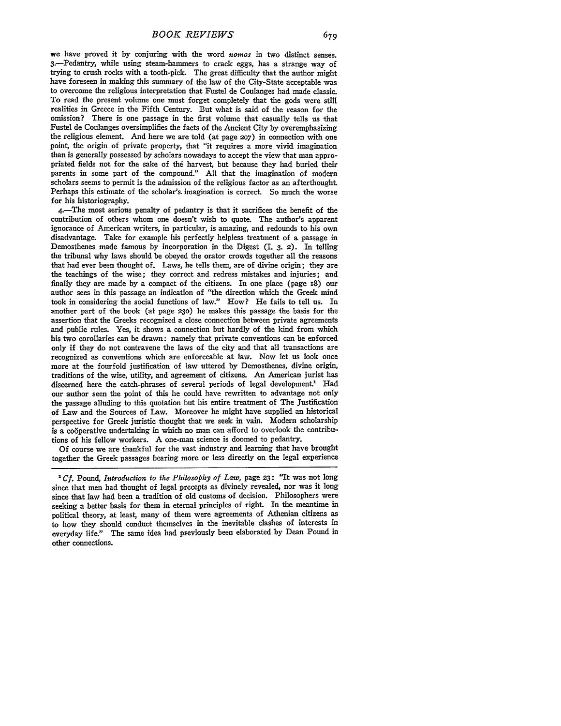we have proved it **by** conjuring with the word *nomos* in two distinct senses. 3.-Pedantry, while using steam-hammers to crack eggs, has a strange way of trying to crush rocks with a tooth-pick. The great difficulty that the author might have foreseen in making this summary of the law of the City-State acceptable was to overcome the religious interpretation that Fustel de Coulanges had made classic. To read the present volume one must forget completely that the gods were still realities in Greece in the Fifth Century. But what is said of the reason for the omission? There is one passage in the first volume that casually tells us that Fustel de Coulanges oversimplifies the facts of the Ancient City **by** overemphasizing the religious element. And here we are told (at page **2o7)** in connection with one point, the origin of private property, that "it requires a more vivid imagination than is generally possessed **by** scholars nowadays to accept the view that man appropriated fields not for the sake of the harvest, but because they had buried their parents in some part of the compound." **All** that the imagination of modern scholars seems to permit is the admission of the religious factor as an afterthought. Perhaps this estimate of the scholar's. imagination is correct. So much the worse for his historiography.

4.The most serious penalty of pedantry is that it sacrifices the benefit of the contribution of others whom one doesn't wish to quote. The author's apparent ignorance of American writers, in particular, is amazing, and redounds to his own disadvantage. Take for example his perfectly helpless treatment of a passage in Demosthenes made famous **by** incorporation in the Digest (I. **3. 2).** In telling the tribunal why laws should be obeyed the orator crowds together all the reasons that had ever been thought of. Laws, he tells them, are of divine origin; they are the teachings of the wise; they correct and redress mistakes and injuries; and finally they are made **by** a compact of the citizens. In one place (page **i8)** our author sees in this passage an indication of "the direction which the Greek mind took in considering the social functions of law." How? He fails to tell us. In another part of the book (at page **23o)** he makes this passage the basis for the assertion that the Greeks recognized a close connection between private agreements and public rules. Yes, it shows a connection but hardly of the kind from which his two corollaries can be drawn: namely that private conventions can be enforced only if they do not contravene the laws of the city and that all transactions are recognized as conventions which are enforceable at law. Now let us look once more at the fourfold justification of law uttered **by** Demosthenes, divine origin, traditions of the wise, utility, and agreement of citizens. An American jurist has discerned here the catch-phrases of several periods of legal development.<sup>1</sup> Had our author seen the point of this he could have rewritten to advantage not only the passage alluding to this quotation but his entire treatment of The Justification of Law and the Sources of Law. Moreover he might have supplied an historical perspective for Greek juristic thought that we seek in vain. Modern scholarship is a coöperative undertaking in which no man can afford to overlook the contributions of his fellow workers. **A** one-man science is doomed to pedantry.

**Of** course we are thankful for the vast industry and learning that have brought together the Greek passages bearing more or less directly on the legal experience

*<sup>1</sup>Cf.* Pound, *Introduction to the Philosophy of Law,* page **23:** "It was not long since that men had thought of legal precepts as divinely revealed, nor was it long since that law had been a tradition of old customs of decision. Philosophers were seeking a better basis for them in eternal principles of right. In the meantime in political theory, at least, many of them were agreements of Athenian citizens as to how they should conduct themselves in the inevitable clashes of interests in everyday life." The same idea had previously been elaborated **by** Dean Pound in other connections.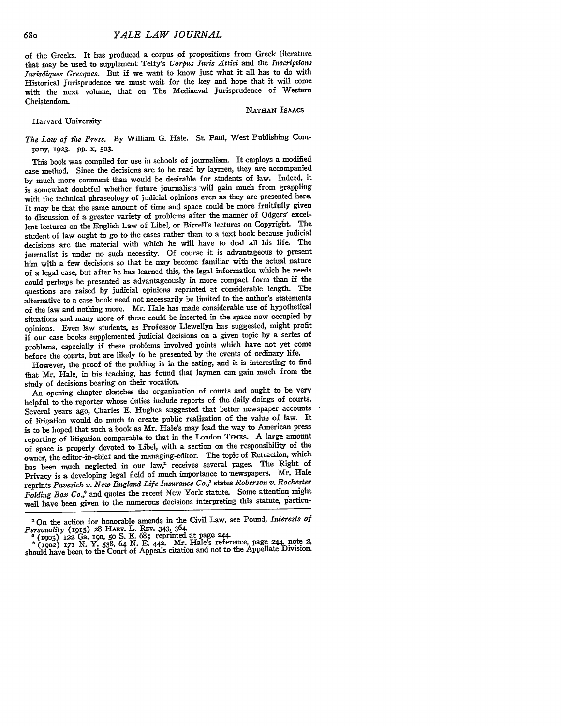of the Greeks. It has produced a corpus of propositions from Greek literature that may be used to supplement Telfy's *Corpus Juris Attici* and the *Inscriptions Jurisdiques Grecques.* But if we want to know just what it all has to do with Historical Jurisprudence we must wait for the key and hope that it will come with the next volume, that on The Mediaeval Jurisprudence of Western Christendom.

#### NATHAN IsAAcs

#### Harvard University

*The Law of the Press.* **By** William **G.** Hale. **St.** Paul, West Publishing Company, **1923.** pp. x, **503.**

This book was compiled for use in schools of journalism. It employs a modified case method. Since the decisions are to be read by laymen, they are accompanied **by** much more comment than would be desirable for students of law. Indeed, it is somewhat doubtful whether future journalists will gain much from grappling with the technical phraseology of judicial opinions even as they are presented here. It may be that the same amount of time and space could be more fruitfully given to discussion of a greater variety of problems after the manner of Odgers' excellent lectures on the English Law of Libel, or Birrell's lectures on Copyright. The student of law ought to go to the cases rather than to a text book because judicial decisions are the material with which he will have to deal all his life. The journalist is under no such necessity. Of course it is advantageous to present him with a few decisions so that he may become familiar with the actual nature of a legal case, but after he has learned this, the legal information which he needs could perhaps be presented as advantageously in more compact form than if the questions are raised by judicial opinions reprinted at considerable length. The alternative to a case book need not necessarily be limited to the author's statements of the law and nothing more. Mr. Hale has made considerable use of hypothetical situations and many more of these could be inserted in the space now occupied by opinions. Even law students, as Professor Llewellyn has suggested, might profit if our case books supplemented judicial decisions on a given topic by a series of problems, especially if these problems involved points which have not yet come before the courts, but are likely to be presented **by** the events of ordinary life.

However, the proof of the pudding is in the eating, and it is interesting to find that Mr. Hale, in his teaching, has found that laymen can gain much from the study of decisions bearing on their vocation.

An opening chapter sketches the organization of courts and ought to be very helpful to the reporter whose duties include reports of the daily doings of courts. Several years ago, Charles E. Hughes suggested that better newspaper accounts of litigation would do much to create public realization of the value of law. It is to be hoped that such a book as Mr. Hale's may lead the way to American press reporting of litigation comparable to that in the London TIMES. A large amount of space is properly devoted to Libel, with a section on the responsibility of the owner, the editor-in-chief and the managing-editor. The topic of Retraction, which has been much neglected in our law,' receives several pages. The Right of Privacy is a developing legal field of much importance to mewspapers. Mr. Hale reprints *Pavesich v. New England Life Insurance Co.,'* states *Roberson v. Rochester Folding Box Co.,'* and quotes the recent New York statute. Some attention might well have been given to the numerous decisions interpreting this statute, particu-

**' (1902) 17I** *N.* Y. 538, 64 N. E. 442. Mr. Hale's reference, page **244,** note 2, should have been to the Court of Appeals citation and not to the Appellate Division.

<sup>&#</sup>x27;On the action for honorable amends in the Civil Law, see Pound, *Interests of Personality* (1915) **28** HARv. L. REv. 343, 364. \*(io5) *122* Ga. i9o, 5o S. E. 68; reprinted at page **244.**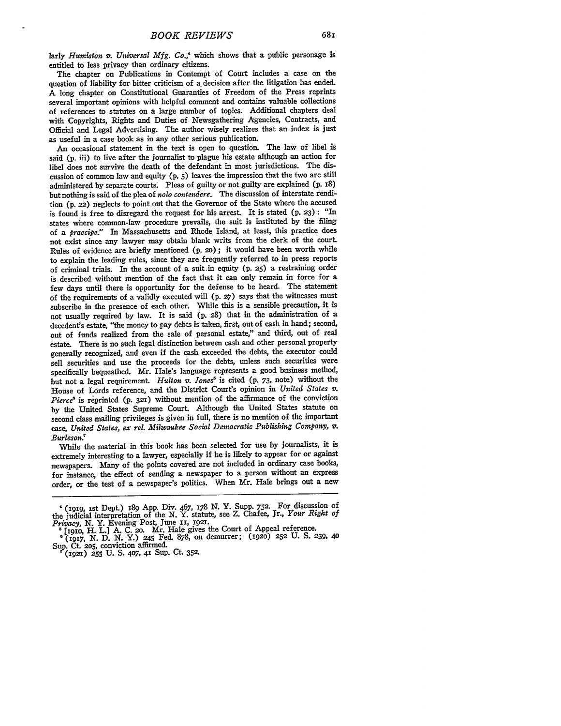larly *Humiston v. Universal Mfg. Co.,"* which shows that a public personage is entitled to less privacy than ordinary citizens.

The chapter on Publications in Contempt of Court includes a case on the question of liability for bitter criticism of **a.** decision after the litigation has ended. A long chapter on Constitutional Guaranties of Freedom of the Press reprints several important opinions with helpful comment and contains valuable collections of references to statutes on a large number of topics. Additional chapters deal with Copyrights, Rights and Duties of Newsgathering Agencies, Contracts, and Official and Legal Advertising. The author wisely realizes that an index is just as useful in a case book as in any other serious publication.

An occasional statement in the text is open to question. The law of libel is said **(p.** iii) to live after the journalist to plague his estate although an action for libel does not survive the death of the defendant in most jurisdictions. The discussion of common law and equity (p. **5)** leaves the impression that the two are still administered **by** separate courts. Pleas of guilty or not guilty are explained **(p. i8)** but nothing is said of the plea of **nolo** *contendere.* The discussion **of** interstate rendition **(p.** 22) neglects to point out that the Governor of the State where the accused is found is free to disregard the request for his arrest. It is stated **(p. 23) :** "In states where common-law procedure prevails, the suit is instituted **by** the filing of a *praecipe."* In Massachusetts and Rhode Island, at least, this practice does not exist since any lawyer may obtain blank writs from the clerk of the court. Rules of evidence are briefly mentioned **(p. 20) ;** it would have been worth while to explain the leading rules, since they are frequently referred to in press reports of criminal trials. In the account of a suit.in equity **(p. 25)** a restraining order is described without mention of the fact that it can only remain in force for a few days until there is opportunity for the defense to be heard. The statement of the requirements of a validly executed will **(p. 27)** says that the witnesses must subscribe in the presence of each other. While this is a sensible precaution, it is not usually required **by** law. It is said **(p. 28)** that in the administration of a decedent's estate, "the money to pay debts is taken, first, out of cash in hand; second, out of funds realized from the sale of personal estate," and third, out of real estate. There is no such legal distinction between cash and other personal property generally recognized, and even if the cash exceeded the debts, the executor could sell securities and use the proceeds for the debts, unless such securities were specifically bequeathed. Mr. Hale's language represents a good business method, but not a legal requirement. *Hulton v. Jones'* is cited **(p. 73,** note) without the House of Lords reference, and the District Court's opinion in *United States v. Pierce'* is reprinted (p. **321)** without mention of the affirmance of the conviction **by** the United States Supreme Court. Although the United States statute on second class mailing privileges is given in full, there is no mention of the important case, *United States, ex rel. Milwaukee Social Democratic Publishing Company, v. Burleson.T*

While the material in this book has been selected for use by journalists, it is extremely interesting to a lawyer, especially if he is likely to appear for or against newspapers. Many of the points covered are not included in ordinary case books, for instance, the effect of sending a newspaper to a person without an express order, or the test of a newspaper's politics. When Mr. Hale brings out a new

<sup>(1919, 1</sup>st Dept.) 189 App. Div. 467, 178 N. Y. Supp. 752. For discussion of the judicial interpretation of the N. Y. statute, see Z. Chafee, Jr., *Your Right of Privacy*, N. Y. Evening Post, June 11, 1921.<br>
<sup>5</sup> [1910, H. L

Sup. Ct. 2o5, conviction **affirmed.**

**<sup>&#</sup>x27;(092) 255 U. S.** 407, **41 Sup.** Ct. **352.**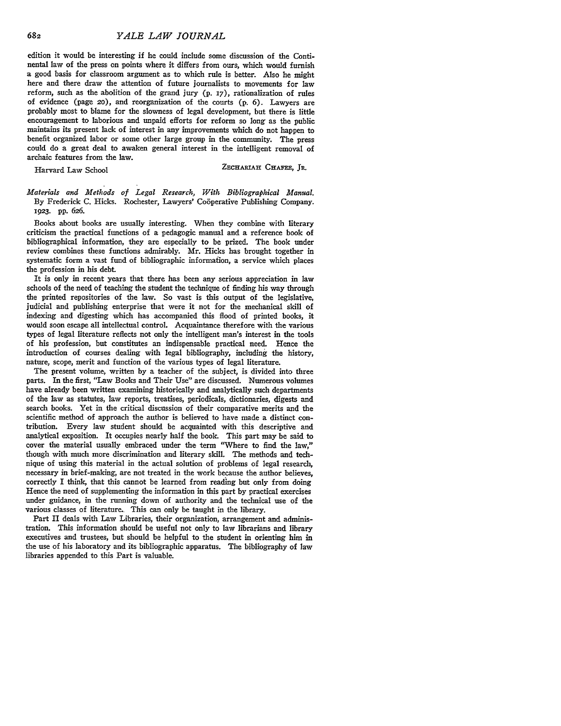*YALE LAW JOURNAL*

edition it would be interesting if he could include some discussion of the Continental law of the press on points where it differs from ours, which would furnish a good basis for classroom argument as to which rule is better. Also he might here and there draw the attention of future journalists to movements for law reform, such as the abolition of the grand jury (p. **17),** rationalization of rules of evidence (page 2o), and reorganization of the courts **(p. 6).** Lawyers are probably most to blame for the slowness of legal development, but there is little encouragement to laborious and unpaid efforts for reform so long as the public maintains its present lack of interest in any improvements which do not happen to benefit organized labor or some other large group in the community. The press could do a great deal to awaken general interest in the intelligent removal of archaic features from the law.

Harvard Law School **ZECHARIAH CHAFEE**, JR.

*Materials and Methods of Legal Research, With Bibliographical Manual.* By Frederick C. Hicks. Rochester, Lawyers' Coöperative Publishing Company. **1923. pp.** 626.

Books about books are usually interesting. When they combine with literary criticism the practical functions of a pedagogic manual and a reference book of bibliographical information, they are especially to be prized. The book under review combines these functions admirably. Mr. Hicks has brought together in systematic form a vast fund of bibliographic informaion, a service which places the profession in his debt

It is only in recent years that there has been any serious appreciation in law schools of the need of teaching the student the technique of finding his way through the printed repositories of the law. So vast is this output of the legislative, judicial and publishing enterprise that were it not for the mechanical skill of indexing and digesting which has accompanied this flood of printed books, it would soon escape all intellectual control. Acquaintance therefore with the various types of legal literature reflects not only the intelligent man's interest in the tools of his profession, but constitutes an indispensable practical need. Hence the introduction of courses dealing with legal bibliography, including the history, nature, scope, merit and function of the various types of legal literature.

The present volume, written **by** a teacher of the subject, is divided into three parts. In the first, "Law Books and Their Use" are discussed. Numerous volumes have already been written examining historically and analytically such departments of the law as statutes, law reports, treatises, periodicals, dictionaries, digests and search books. Yet in the critical discussion of their comparative merits and the scientific method of approach the author is believed to have made a distinct contribution. Every law student should be acquainted with this descriptive and analytical exposition. It occupies nearly half the book. This part may be said to cover the material usually embraced under the term "Where to find the law," though with much more discrimination and literary skill. The methods and technique of using this material in the actual solution of problems of legal research, necessary in brief-making, are not treated in the work because the author believes, correctly I think, that this cannot be learned from reading but only from doing Hence the need of supplementing the information in this part by practical exercises under guidance, in the running down of authority and the technical use of the various classes of literature. This can only be taught in the library.

Part II deals with Law Libraries, their organization, arrangement and administration. This information should be useful not only to law librarians and library executives and trustees, but should be helpful to the student in orienting him in the use of his laboratory and its bibliographic apparatus. The bibliography of law libraries appended to this Part is valuable.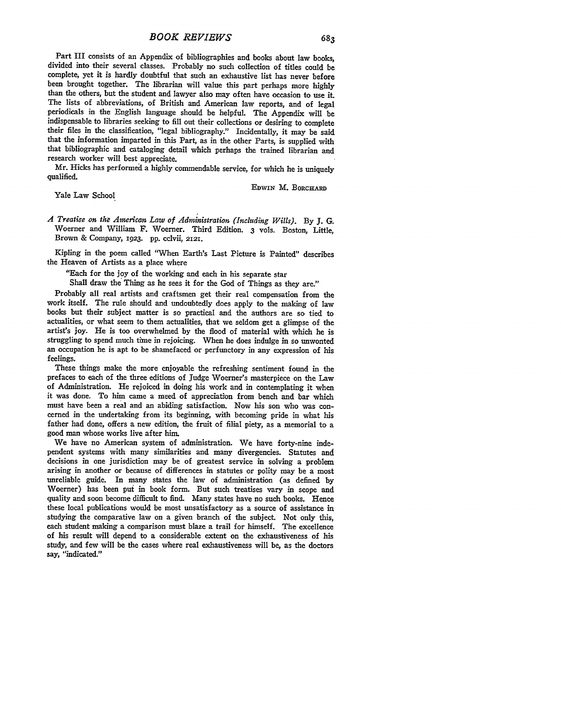*BOOK REVIEWS*

Part III consists of an Appendix of bibliographies and books about law books, divided into their several classes. Probably no such collection of titles could be complete, yet it is hardly doubtful that such an exhaustive list has never before been brought together. The librarian will value this part perhaps more **highly** than the others, but the student and lawyer also may often have occasion to use it. The lists of abbreviations, of British and American law reports, and of legal periodicals in the English language should be helpful. The Appendix will be indispensable to libraries seeking to **fill** out their collections or desiring to complete their files in the classification, "legal bibliography." Incidentally, it may be said that the information imparted in this Part, as in the other Parts, is supplied with that bibliographic and cataloging detail which perhaps the trained librarian and research worker will best appreciate.

Mr. Hicks has performed a **highly** commendable service, for which he is uniquely qualified.

Yale Law School

EDWIN M. BORCHARD

*A Treatise on the American Law of Administration (Including Wills).* By **J. G.** Woerner and William F. Woerner. Third Edition. **3** vols. Boston, Little, Brown & Company, 1923. **pp.** cclvii, **2121.**

Kipling in the poem called "When Earth's Last Picture is Painted" describes the Heaven of Artists as a place where

"Each for the **joy** of the working and each in his separate star

Shall draw the Thing as he sees it for the God of Things as they are."

Probably all real artists and craftsmen get their real compensation from the work itself. The rule should and undoubtedly does apply to the making of law books but their subject matter is so practical and the authors are so tied to actualities, or what seem to them actualities, that we seldom get a glimpse of the artist's **joy.** He is too overwhelmed **by** the flood of material with which he is struggling to spend much time in rejoicing. When he does indulge in so unwonted an occupation he is apt to be shamefaced or perfunctory in any expression of his feelings.

These things make the more enjoyable the refreshing sentiment found in the prefaces to each of the three editions of Judge Woerner's masterpiece on the Law of Administration. He rejoiced in doing his work and in contemplating it when it was done. To him came a meed of appreciation from bench and bar which must have been a real and an abiding satisfaction. Now his son who was con- cerned in the undertaking from its beginning, with becoming pride in what his father had done, offers a new edition, the fruit of filial piety, as a memorial to a good man whose works live after him.

We have no American system of administration. We have forty-nine independent systems with many similarities and many divergencies. Statutes and decisions in one jurisdiction may be of greatest service in solving a problem arising in another or because of differences in statutes or polity may be a most unreliable guide. In many states the law of administration (as defined **by** Woerner) has been put in book form. But such treatises vary in scope and quality and soon become difficult to find. Many states have no such books. Hence these local publications would be most unsatisfactory as a source of assistance in studying the comparative law on a given branch of the subject. Not only this, each student making a comparison must blaze a trail for himself. The excellence of his result will depend to a considerable extent on the exhaustiveness of his study, and few will be the cases where real exhaustiveness will be, as the doctors say, "indicated."